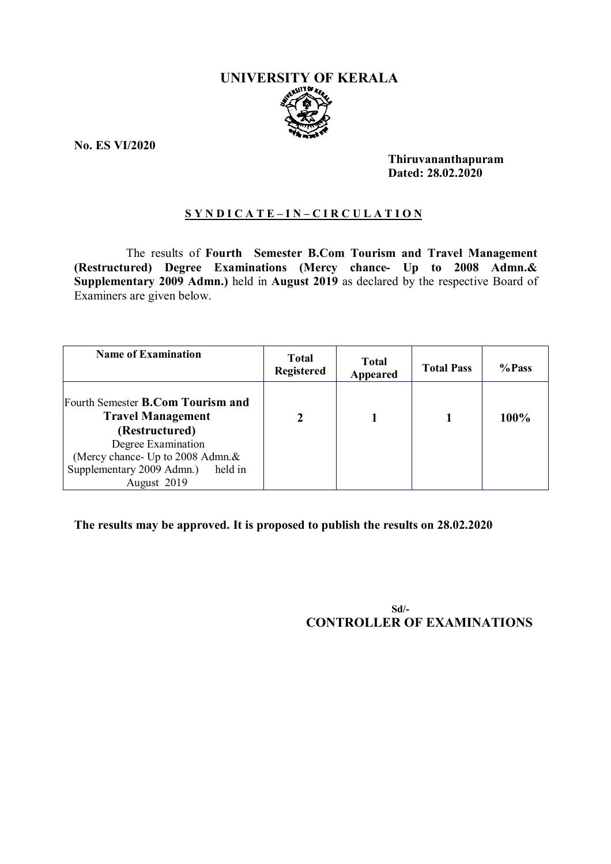# **UNIVERSITY OF KERALA**

**No. ES VI/2020**

**Thiruvananthapuram Dated: 28.02.2020**

### **S Y N D I C A T E – I N – C I R C U L A T I O N**

The results of **Fourth Semester B.Com Tourism and Travel Management (Restructured) Degree Examinations (Mercy chance- Up to 2008 Admn.& Supplementary 2009 Admn.)** held in **August 2019** as declared by the respective Board of Examiners are given below.

| <b>Name of Examination</b>                                                                                                                                                                              | <b>Total</b><br><b>Registered</b> | <b>Total</b><br>Appeared | <b>Total Pass</b> | %Pass |
|---------------------------------------------------------------------------------------------------------------------------------------------------------------------------------------------------------|-----------------------------------|--------------------------|-------------------|-------|
| Fourth Semester <b>B.Com Tourism and</b><br><b>Travel Management</b><br>(Restructured)<br>Degree Examination<br>(Mercy chance- Up to 2008 Admn.&<br>Supplementary 2009 Admn.)<br>held in<br>August 2019 | 2                                 |                          |                   | 100%  |

**The results may be approved. It is proposed to publish the results on 28.02.2020**

 **Sd/- CONTROLLER OF EXAMINATIONS**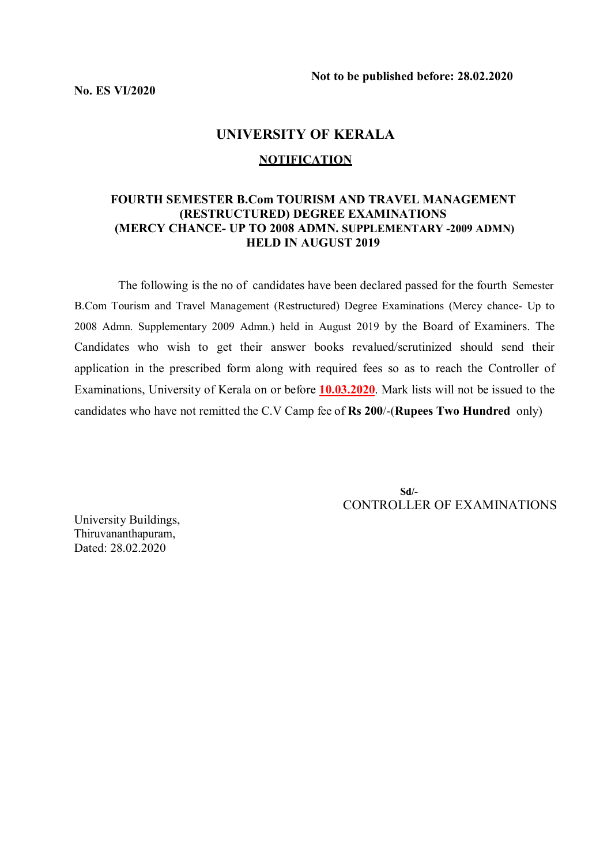# **UNIVERSITY OF KERALA NOTIFICATION**

#### **FOURTH SEMESTER B.Com TOURISM AND TRAVEL MANAGEMENT (RESTRUCTURED) DEGREE EXAMINATIONS (MERCY CHANCE- UP TO 2008 ADMN. SUPPLEMENTARY -2009 ADMN) HELD IN AUGUST 2019**

 The following is the no of candidates have been declared passed for the fourth Semester B.Com Tourism and Travel Management (Restructured) Degree Examinations (Mercy chance- Up to 2008 Admn. Supplementary 2009 Admn.) held in August 2019 by the Board of Examiners. The Candidates who wish to get their answer books revalued/scrutinized should send their application in the prescribed form along with required fees so as to reach the Controller of Examinations, University of Kerala on or before **10.03.2020**. Mark lists will not be issued to the candidates who have not remitted the C.V Camp fee of **Rs 200**/-(**Rupees Two Hundred** only)

 **Sd/-** CONTROLLER OF EXAMINATIONS

University Buildings, Thiruvananthapuram, Dated: 28.02.2020